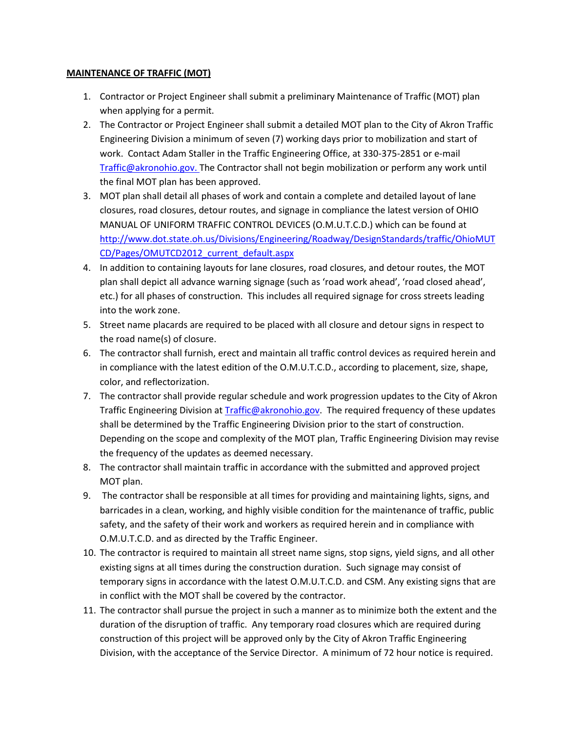## **MAINTENANCE OF TRAFFIC (MOT)**

- 1. Contractor or Project Engineer shall submit a preliminary Maintenance of Traffic (MOT) plan when applying for a permit.
- 2. The Contractor or Project Engineer shall submit a detailed MOT plan to the City of Akron Traffic Engineering Division a minimum of seven (7) working days prior to mobilization and start of work. Contact Adam Staller in the Traffic Engineering Office, at 330-375-2851 or e-mail [Traffic@akronohio.gov.](mailto:Traffic@akronohio.gov) The Contractor shall not begin mobilization or perform any work until the final MOT plan has been approved.
- 3. MOT plan shall detail all phases of work and contain a complete and detailed layout of lane closures, road closures, detour routes, and signage in compliance the latest version of OHIO MANUAL OF UNIFORM TRAFFIC CONTROL DEVICES (O.M.U.T.C.D.) which can be found at [http://www.dot.state.oh.us/Divisions/Engineering/Roadway/DesignStandards/traffic/OhioMUT](http://www.dot.state.oh.us/Divisions/Engineering/Roadway/DesignStandards/traffic/OhioMUTCD/Pages/OMUTCD2012_current_default.aspx) [CD/Pages/OMUTCD2012\\_current\\_default.aspx](http://www.dot.state.oh.us/Divisions/Engineering/Roadway/DesignStandards/traffic/OhioMUTCD/Pages/OMUTCD2012_current_default.aspx)
- 4. In addition to containing layouts for lane closures, road closures, and detour routes, the MOT plan shall depict all advance warning signage (such as 'road work ahead', 'road closed ahead', etc.) for all phases of construction. This includes all required signage for cross streets leading into the work zone.
- 5. Street name placards are required to be placed with all closure and detour signs in respect to the road name(s) of closure.
- 6. The contractor shall furnish, erect and maintain all traffic control devices as required herein and in compliance with the latest edition of the O.M.U.T.C.D., according to placement, size, shape, color, and reflectorization.
- 7. The contractor shall provide regular schedule and work progression updates to the City of Akron Traffic Engineering Division at [Traffic@akronohio.gov.](mailto:Traffic@akronohio.gov) The required frequency of these updates shall be determined by the Traffic Engineering Division prior to the start of construction. Depending on the scope and complexity of the MOT plan, Traffic Engineering Division may revise the frequency of the updates as deemed necessary.
- 8. The contractor shall maintain traffic in accordance with the submitted and approved project MOT plan.
- 9. The contractor shall be responsible at all times for providing and maintaining lights, signs, and barricades in a clean, working, and highly visible condition for the maintenance of traffic, public safety, and the safety of their work and workers as required herein and in compliance with O.M.U.T.C.D. and as directed by the Traffic Engineer.
- 10. The contractor is required to maintain all street name signs, stop signs, yield signs, and all other existing signs at all times during the construction duration. Such signage may consist of temporary signs in accordance with the latest O.M.U.T.C.D. and CSM. Any existing signs that are in conflict with the MOT shall be covered by the contractor.
- 11. The contractor shall pursue the project in such a manner as to minimize both the extent and the duration of the disruption of traffic. Any temporary road closures which are required during construction of this project will be approved only by the City of Akron Traffic Engineering Division, with the acceptance of the Service Director. A minimum of 72 hour notice is required.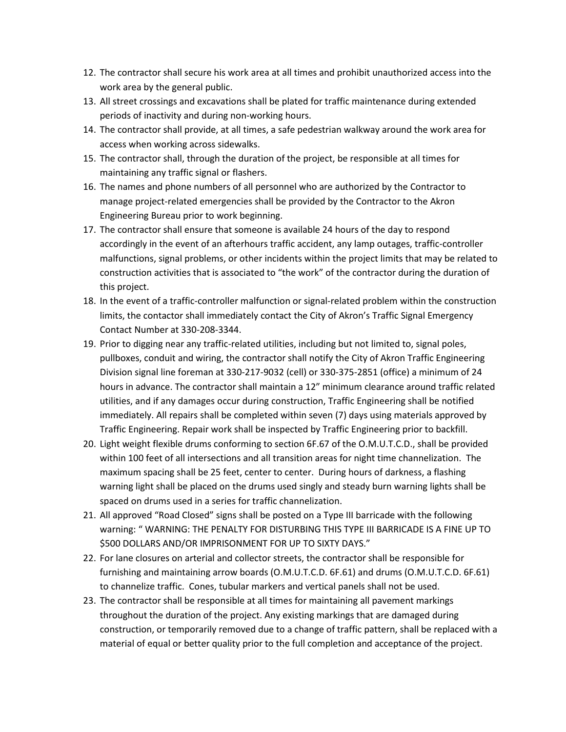- 12. The contractor shall secure his work area at all times and prohibit unauthorized access into the work area by the general public.
- 13. All street crossings and excavations shall be plated for traffic maintenance during extended periods of inactivity and during non-working hours.
- 14. The contractor shall provide, at all times, a safe pedestrian walkway around the work area for access when working across sidewalks.
- 15. The contractor shall, through the duration of the project, be responsible at all times for maintaining any traffic signal or flashers.
- 16. The names and phone numbers of all personnel who are authorized by the Contractor to manage project-related emergencies shall be provided by the Contractor to the Akron Engineering Bureau prior to work beginning.
- 17. The contractor shall ensure that someone is available 24 hours of the day to respond accordingly in the event of an afterhours traffic accident, any lamp outages, traffic-controller malfunctions, signal problems, or other incidents within the project limits that may be related to construction activities that is associated to "the work" of the contractor during the duration of this project.
- 18. In the event of a traffic-controller malfunction or signal-related problem within the construction limits, the contactor shall immediately contact the City of Akron's Traffic Signal Emergency Contact Number at 330-208-3344.
- 19. Prior to digging near any traffic-related utilities, including but not limited to, signal poles, pullboxes, conduit and wiring, the contractor shall notify the City of Akron Traffic Engineering Division signal line foreman at 330-217-9032 (cell) or 330-375-2851 (office) a minimum of 24 hours in advance. The contractor shall maintain a 12" minimum clearance around traffic related utilities, and if any damages occur during construction, Traffic Engineering shall be notified immediately. All repairs shall be completed within seven (7) days using materials approved by Traffic Engineering. Repair work shall be inspected by Traffic Engineering prior to backfill.
- 20. Light weight flexible drums conforming to section 6F.67 of the O.M.U.T.C.D., shall be provided within 100 feet of all intersections and all transition areas for night time channelization. The maximum spacing shall be 25 feet, center to center. During hours of darkness, a flashing warning light shall be placed on the drums used singly and steady burn warning lights shall be spaced on drums used in a series for traffic channelization.
- 21. All approved "Road Closed" signs shall be posted on a Type III barricade with the following warning: " WARNING: THE PENALTY FOR DISTURBING THIS TYPE III BARRICADE IS A FINE UP TO \$500 DOLLARS AND/OR IMPRISONMENT FOR UP TO SIXTY DAYS."
- 22. For lane closures on arterial and collector streets, the contractor shall be responsible for furnishing and maintaining arrow boards (O.M.U.T.C.D. 6F.61) and drums (O.M.U.T.C.D. 6F.61) to channelize traffic. Cones, tubular markers and vertical panels shall not be used.
- 23. The contractor shall be responsible at all times for maintaining all pavement markings throughout the duration of the project. Any existing markings that are damaged during construction, or temporarily removed due to a change of traffic pattern, shall be replaced with a material of equal or better quality prior to the full completion and acceptance of the project.